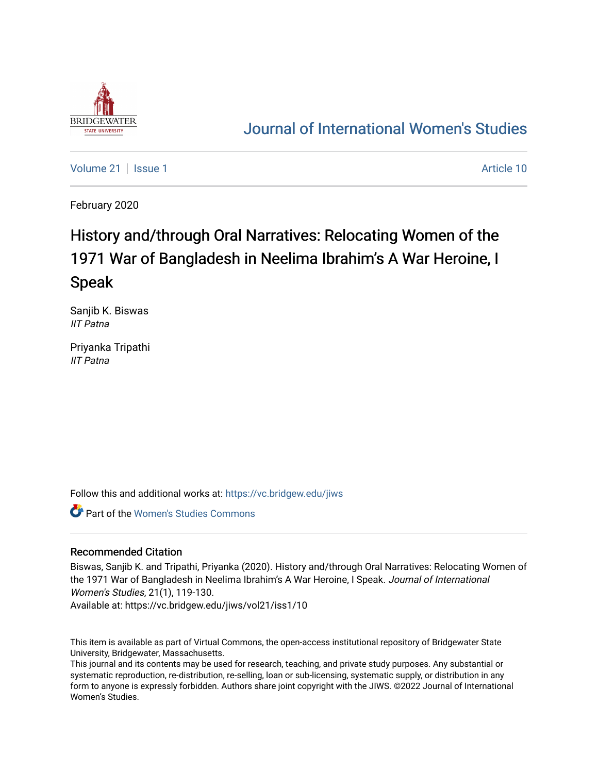

## [Journal of International Women's Studies](https://vc.bridgew.edu/jiws)

[Volume 21](https://vc.bridgew.edu/jiws/vol21) | [Issue 1](https://vc.bridgew.edu/jiws/vol21/iss1) Article 10

February 2020

# History and/through Oral Narratives: Relocating Women of the 1971 War of Bangladesh in Neelima Ibrahim's A War Heroine, I Speak

Sanjib K. Biswas IIT Patna

Priyanka Tripathi IIT Patna

Follow this and additional works at: [https://vc.bridgew.edu/jiws](https://vc.bridgew.edu/jiws?utm_source=vc.bridgew.edu%2Fjiws%2Fvol21%2Fiss1%2F10&utm_medium=PDF&utm_campaign=PDFCoverPages)

Part of the [Women's Studies Commons](http://network.bepress.com/hgg/discipline/561?utm_source=vc.bridgew.edu%2Fjiws%2Fvol21%2Fiss1%2F10&utm_medium=PDF&utm_campaign=PDFCoverPages) 

#### Recommended Citation

Biswas, Sanjib K. and Tripathi, Priyanka (2020). History and/through Oral Narratives: Relocating Women of the 1971 War of Bangladesh in Neelima Ibrahim's A War Heroine, I Speak. Journal of International Women's Studies, 21(1), 119-130.

Available at: https://vc.bridgew.edu/jiws/vol21/iss1/10

This item is available as part of Virtual Commons, the open-access institutional repository of Bridgewater State University, Bridgewater, Massachusetts.

This journal and its contents may be used for research, teaching, and private study purposes. Any substantial or systematic reproduction, re-distribution, re-selling, loan or sub-licensing, systematic supply, or distribution in any form to anyone is expressly forbidden. Authors share joint copyright with the JIWS. ©2022 Journal of International Women's Studies.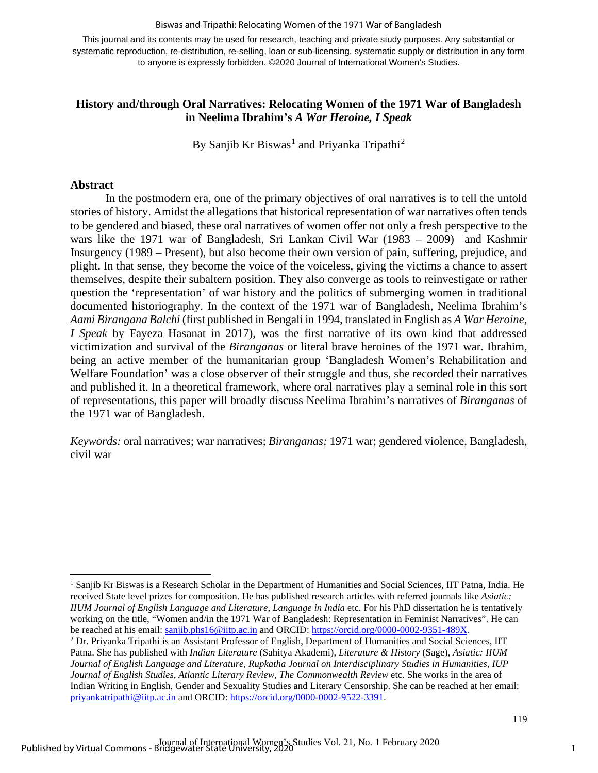#### Biswas and Tripathi: Relocating Women of the 1971 War of Bangladesh

This journal and its contents may be used for research, teaching and private study purposes. Any substantial or systematic reproduction, re-distribution, re-selling, loan or sub-licensing, systematic supply or distribution in any form to anyone is expressly forbidden. ©2020 Journal of International Women's Studies.

### **History and/through Oral Narratives: Relocating Women of the 1971 War of Bangladesh in Neelima Ibrahim's** *A War Heroine, I Speak*

By Sanjib Kr Biswas<sup>[1](#page-1-0)</sup> and Priyanka Tripathi<sup>[2](#page-1-1)</sup>

#### **Abstract**

In the postmodern era, one of the primary objectives of oral narratives is to tell the untold stories of history. Amidst the allegations that historical representation of war narratives often tends to be gendered and biased, these oral narratives of women offer not only a fresh perspective to the wars like the 1971 war of Bangladesh, Sri Lankan Civil War (1983 – 2009) and Kashmir Insurgency (1989 – Present), but also become their own version of pain, suffering, prejudice, and plight. In that sense, they become the voice of the voiceless, giving the victims a chance to assert themselves, despite their subaltern position. They also converge as tools to reinvestigate or rather question the 'representation' of war history and the politics of submerging women in traditional documented historiography. In the context of the 1971 war of Bangladesh, Neelima Ibrahim's *Aami Birangana Balchi* (first published in Bengali in 1994, translated in English as *A War Heroine, I Speak* by Fayeza Hasanat in 2017), was the first narrative of its own kind that addressed victimization and survival of the *Biranganas* or literal brave heroines of the 1971 war. Ibrahim, being an active member of the humanitarian group 'Bangladesh Women's Rehabilitation and Welfare Foundation' was a close observer of their struggle and thus, she recorded their narratives and published it. In a theoretical framework, where oral narratives play a seminal role in this sort of representations, this paper will broadly discuss Neelima Ibrahim's narratives of *Biranganas* of the 1971 war of Bangladesh.

*Keywords:* oral narratives; war narratives; *Biranganas;* 1971 war; gendered violence, Bangladesh, civil war

<span id="page-1-0"></span><sup>1</sup> Sanjib Kr Biswas is a Research Scholar in the Department of Humanities and Social Sciences, IIT Patna, India. He received State level prizes for composition. He has published research articles with referred journals like *Asiatic: IIUM Journal of English Language and Literature*, *Language in India* etc. For his PhD dissertation he is tentatively working on the title, "Women and/in the 1971 War of Bangladesh: Representation in Feminist Narratives". He can be reached at his email: sanjib.phs16@iitp.ac.in and ORCID: https://orcid.org/0000-0002-9351-489X.<br><sup>2</sup> Dr. Priyanka Tripathi is an Assistant Professor of English, Department of Humanities and Social Sciences, IIT

<span id="page-1-1"></span>Patna. She has published with *Indian Literature* (Sahitya Akademi), *Literature & History* (Sage), *Asiatic: IIUM Journal of English Language and Literature, Rupkatha Journal on Interdisciplinary Studies in Humanities*, *IUP Journal of English Studies*, *Atlantic Literary Review*, *The Commonwealth Review* etc. She works in the area of Indian Writing in English, Gender and Sexuality Studies and Literary Censorship. She can be reached at her email: [priyankatripathi@iitp.ac.in](mailto:priyankatripathi@iitp.ac.in) and ORCID: [https://orcid.org/0000-0002-9522-3391.](https://orcid.org/0000-0002-9522-3391)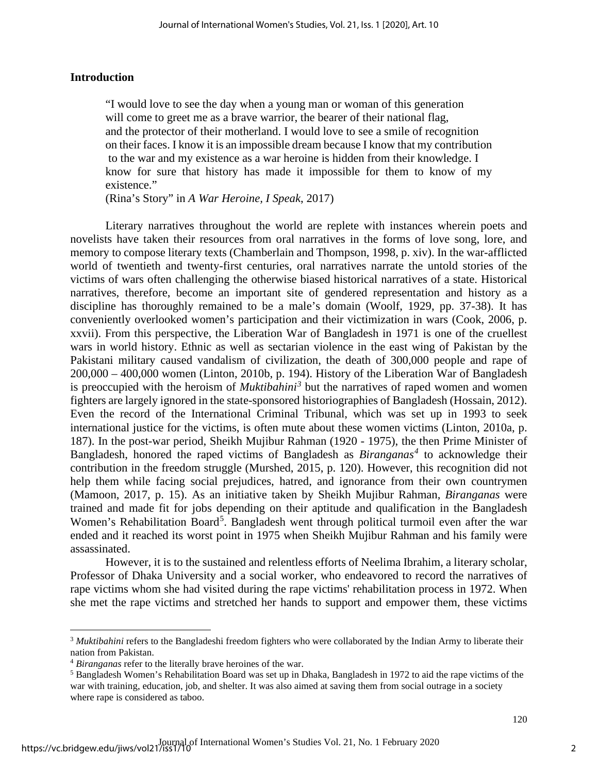#### **Introduction**

"I would love to see the day when a young man or woman of this generation will come to greet me as a brave warrior, the bearer of their national flag, and the protector of their motherland. I would love to see a smile of recognition on their faces. I know it is an impossible dream because I know that my contribution to the war and my existence as a war heroine is hidden from their knowledge. I know for sure that history has made it impossible for them to know of my existence."

(Rina's Story" in *A War Heroine, I Speak*, 2017)

Literary narratives throughout the world are replete with instances wherein poets and novelists have taken their resources from oral narratives in the forms of love song, lore, and memory to compose literary texts (Chamberlain and Thompson, 1998, p. xiv). In the war-afflicted world of twentieth and twenty-first centuries, oral narratives narrate the untold stories of the victims of wars often challenging the otherwise biased historical narratives of a state. Historical narratives, therefore, become an important site of gendered representation and history as a discipline has thoroughly remained to be a male's domain (Woolf, 1929, pp. 37-38). It has conveniently overlooked women's participation and their victimization in wars (Cook, 2006, p. xxvii). From this perspective, the Liberation War of Bangladesh in 1971 is one of the cruellest wars in world history. Ethnic as well as sectarian violence in the east wing of Pakistan by the Pakistani military caused vandalism of civilization, the death of 300,000 people and rape of 200,000 – 400,000 women (Linton, 2010b, p. 194). History of the Liberation War of Bangladesh is preoccupied with the heroism of *Muktibahini[3](#page-2-0)* but the narratives of raped women and women fighters are largely ignored in the state-sponsored historiographies of Bangladesh (Hossain, 2012). Even the record of the International Criminal Tribunal, which was set up in 1993 to seek international justice for the victims, is often mute about these women victims (Linton, 2010a, p. 187). In the post-war period, Sheikh Mujibur Rahman (1920 - 1975), the then Prime Minister of Bangladesh, honored the raped victims of Bangladesh as *Biranganas[4](#page-2-1)* to acknowledge their contribution in the freedom struggle (Murshed, 2015, p. 120). However, this recognition did not help them while facing social prejudices, hatred, and ignorance from their own countrymen (Mamoon, 2017, p. 15). As an initiative taken by Sheikh Mujibur Rahman, *Biranganas* were trained and made fit for jobs depending on their aptitude and qualification in the Bangladesh Women's Rehabilitation Board<sup>[5](#page-2-2)</sup>. Bangladesh went through political turmoil even after the war ended and it reached its worst point in 1975 when Sheikh Mujibur Rahman and his family were assassinated.

However, it is to the sustained and relentless efforts of Neelima Ibrahim, a literary scholar, Professor of Dhaka University and a social worker, who endeavored to record the narratives of rape victims whom she had visited during the rape victims' rehabilitation process in 1972. When she met the rape victims and stretched her hands to support and empower them, these victims

<span id="page-2-0"></span><sup>&</sup>lt;sup>3</sup> *Muktibahini* refers to the Bangladeshi freedom fighters who were collaborated by the Indian Army to liberate their nation from Pakistan.

<span id="page-2-2"></span><span id="page-2-1"></span><sup>&</sup>lt;sup>4</sup> *Biranganas* refer to the literally brave heroines of the war.<br><sup>5</sup> Bangladesh Women's Rehabilitation Board was set up in Dhaka, Bangladesh in 1972 to aid the rape victims of the war with training, education, job, and shelter. It was also aimed at saving them from social outrage in a society where rape is considered as taboo.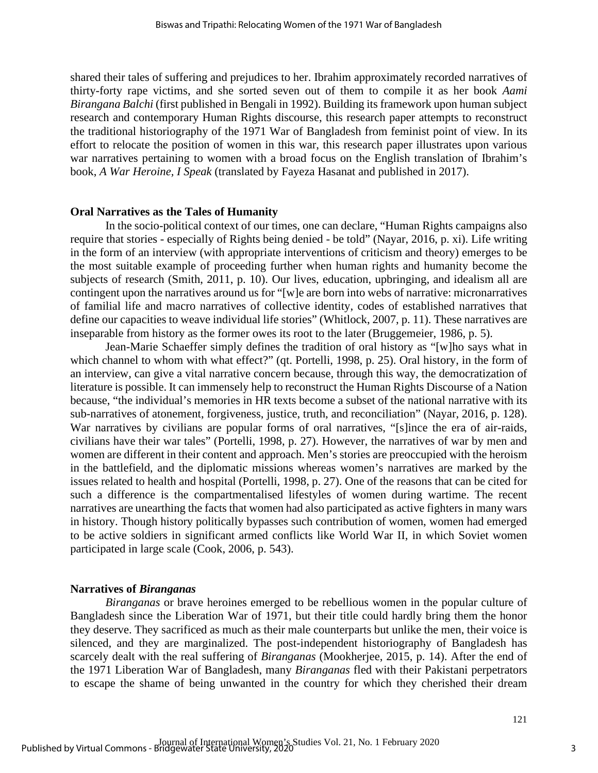shared their tales of suffering and prejudices to her. Ibrahim approximately recorded narratives of thirty-forty rape victims, and she sorted seven out of them to compile it as her book *Aami Birangana Balchi* (first published in Bengali in 1992). Building its framework upon human subject research and contemporary Human Rights discourse, this research paper attempts to reconstruct the traditional historiography of the 1971 War of Bangladesh from feminist point of view. In its effort to relocate the position of women in this war, this research paper illustrates upon various war narratives pertaining to women with a broad focus on the English translation of Ibrahim's book, *A War Heroine, I Speak* (translated by Fayeza Hasanat and published in 2017).

#### **Oral Narratives as the Tales of Humanity**

In the socio-political context of our times, one can declare, "Human Rights campaigns also require that stories - especially of Rights being denied - be told" (Nayar, 2016, p. xi). Life writing in the form of an interview (with appropriate interventions of criticism and theory) emerges to be the most suitable example of proceeding further when human rights and humanity become the subjects of research (Smith, 2011, p. 10). Our lives, education, upbringing, and idealism all are contingent upon the narratives around us for "[w]e are born into webs of narrative: micronarratives of familial life and macro narratives of collective identity, codes of established narratives that define our capacities to weave individual life stories" (Whitlock, 2007, p. 11). These narratives are inseparable from history as the former owes its root to the later (Bruggemeier, 1986, p. 5).

Jean-Marie Schaeffer simply defines the tradition of oral history as "[w]ho says what in which channel to whom with what effect?" (qt. Portelli, 1998, p. 25). Oral history, in the form of an interview, can give a vital narrative concern because, through this way, the democratization of literature is possible. It can immensely help to reconstruct the Human Rights Discourse of a Nation because, "the individual's memories in HR texts become a subset of the national narrative with its sub-narratives of atonement, forgiveness, justice, truth, and reconciliation" (Nayar, 2016, p. 128). War narratives by civilians are popular forms of oral narratives, "[s]ince the era of air-raids, civilians have their war tales" (Portelli, 1998, p. 27). However, the narratives of war by men and women are different in their content and approach. Men's stories are preoccupied with the heroism in the battlefield, and the diplomatic missions whereas women's narratives are marked by the issues related to health and hospital (Portelli, 1998, p. 27). One of the reasons that can be cited for such a difference is the compartmentalised lifestyles of women during wartime. The recent narratives are unearthing the facts that women had also participated as active fighters in many wars in history. Though history politically bypasses such contribution of women, women had emerged to be active soldiers in significant armed conflicts like World War II, in which Soviet women participated in large scale (Cook, 2006, p. 543).

#### **Narratives of** *Biranganas*

*Biranganas* or brave heroines emerged to be rebellious women in the popular culture of Bangladesh since the Liberation War of 1971, but their title could hardly bring them the honor they deserve. They sacrificed as much as their male counterparts but unlike the men, their voice is silenced, and they are marginalized. The post-independent historiography of Bangladesh has scarcely dealt with the real suffering of *Biranganas* (Mookherjee, 2015, p. 14). After the end of the 1971 Liberation War of Bangladesh, many *Biranganas* fled with their Pakistani perpetrators to escape the shame of being unwanted in the country for which they cherished their dream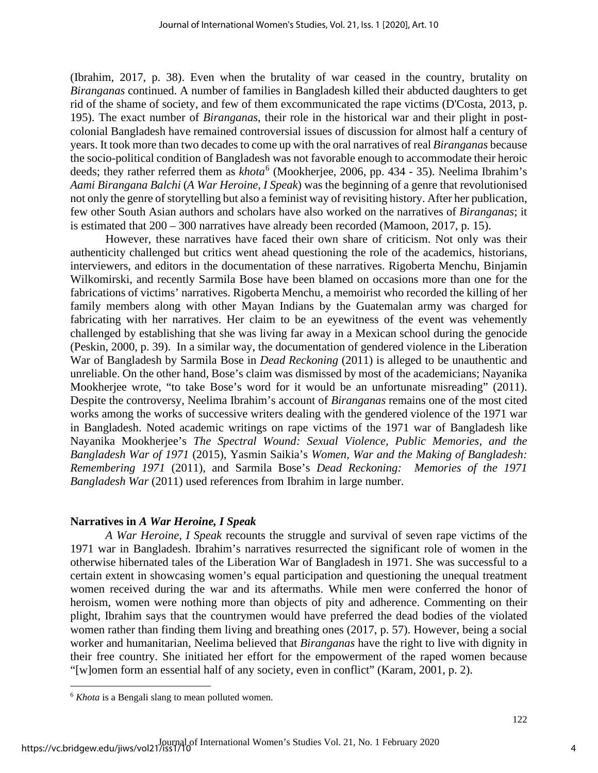(Ibrahim, 2017, p. 38). Even when the brutality of war ceased in the country, brutality on *Biranganas* continued. A number of families in Bangladesh killed their abducted daughters to get rid of the shame of society, and few of them excommunicated the rape victims (D'Costa, 2013, p. 195). The exact number of *Biranganas*, their role in the historical war and their plight in postcolonial Bangladesh have remained controversial issues of discussion for almost half a century of years. It took more than two decades to come up with the oral narratives of real *Biranganas* because the socio-political condition of Bangladesh was not favorable enough to accommodate their heroic deeds; they rather referred them as *khota*<sup>[6](#page-4-0)</sup> (Mookherjee, 2006, pp. 434 - 35). Neelima Ibrahim's *Aami Birangana Balchi* (*A War Heroine, I Speak*) was the beginning of a genre that revolutionised not only the genre of storytelling but also a feminist way of revisiting history. After her publication, few other South Asian authors and scholars have also worked on the narratives of *Biranganas*; it is estimated that 200 – 300 narratives have already been recorded (Mamoon, 2017, p. 15).

However, these narratives have faced their own share of criticism. Not only was their authenticity challenged but critics went ahead questioning the role of the academics, historians, interviewers, and editors in the documentation of these narratives. Rigoberta Menchu, Binjamin Wilkomirski, and recently Sarmila Bose have been blamed on occasions more than one for the fabrications of victims' narratives. Rigoberta Menchu, a memoirist who recorded the killing of her family members along with other Mayan Indians by the Guatemalan army was charged for fabricating with her narratives. Her claim to be an eyewitness of the event was vehemently challenged by establishing that she was living far away in a Mexican school during the genocide (Peskin, 2000, p. 39). In a similar way, the documentation of gendered violence in the Liberation War of Bangladesh by Sarmila Bose in *Dead Reckoning* (2011) is alleged to be unauthentic and unreliable. On the other hand, Bose's claim was dismissed by most of the academicians; Nayanika Mookherjee wrote, "to take Bose's word for it would be an unfortunate misreading" (2011). Despite the controversy, Neelima Ibrahim's account of *Biranganas* remains one of the most cited works among the works of successive writers dealing with the gendered violence of the 1971 war in Bangladesh. Noted academic writings on rape victims of the 1971 war of Bangladesh like Nayanika Mookherjee's *The Spectral Wound: Sexual Violence, Public Memories, and the Bangladesh War of 1971* (2015), Yasmin Saikia's *Women, War and the Making of Bangladesh: Remembering 1971* (2011), and Sarmila Bose's *Dead Reckoning: Memories of the 1971 Bangladesh War* (2011) used references from Ibrahim in large number.

### **Narratives in** *A War Heroine, I Speak*

*A War Heroine, I Speak* recounts the struggle and survival of seven rape victims of the 1971 war in Bangladesh. Ibrahim's narratives resurrected the significant role of women in the otherwise hibernated tales of the Liberation War of Bangladesh in 1971. She was successful to a certain extent in showcasing women's equal participation and questioning the unequal treatment women received during the war and its aftermaths. While men were conferred the honor of heroism, women were nothing more than objects of pity and adherence. Commenting on their plight, Ibrahim says that the countrymen would have preferred the dead bodies of the violated women rather than finding them living and breathing ones (2017, p. 57). However, being a social worker and humanitarian, Neelima believed that *Biranganas* have the right to live with dignity in their free country. She initiated her effort for the empowerment of the raped women because "[w]omen form an essential half of any society, even in conflict" (Karam, 2001, p. 2).

<span id="page-4-0"></span><sup>6</sup> *Khota* is a Bengali slang to mean polluted women.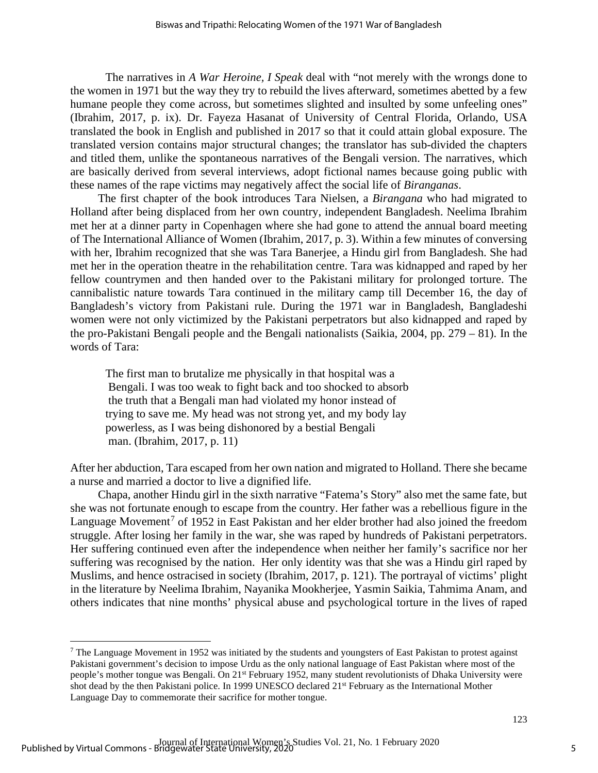The narratives in *A War Heroine, I Speak* deal with "not merely with the wrongs done to the women in 1971 but the way they try to rebuild the lives afterward, sometimes abetted by a few humane people they come across, but sometimes slighted and insulted by some unfeeling ones" (Ibrahim, 2017, p. ix). Dr. Fayeza Hasanat of University of Central Florida, Orlando, USA translated the book in English and published in 2017 so that it could attain global exposure. The translated version contains major structural changes; the translator has sub-divided the chapters and titled them, unlike the spontaneous narratives of the Bengali version. The narratives, which are basically derived from several interviews, adopt fictional names because going public with these names of the rape victims may negatively affect the social life of *Biranganas*.

The first chapter of the book introduces Tara Nielsen, a *Birangana* who had migrated to Holland after being displaced from her own country, independent Bangladesh. Neelima Ibrahim met her at a dinner party in Copenhagen where she had gone to attend the annual board meeting of The International Alliance of Women (Ibrahim, 2017, p. 3). Within a few minutes of conversing with her, Ibrahim recognized that she was Tara Banerjee, a Hindu girl from Bangladesh. She had met her in the operation theatre in the rehabilitation centre. Tara was kidnapped and raped by her fellow countrymen and then handed over to the Pakistani military for prolonged torture. The cannibalistic nature towards Tara continued in the military camp till December 16, the day of Bangladesh's victory from Pakistani rule. During the 1971 war in Bangladesh, Bangladeshi women were not only victimized by the Pakistani perpetrators but also kidnapped and raped by the pro-Pakistani Bengali people and the Bengali nationalists (Saikia, 2004, pp. 279 – 81). In the words of Tara:

The first man to brutalize me physically in that hospital was a Bengali. I was too weak to fight back and too shocked to absorb the truth that a Bengali man had violated my honor instead of trying to save me. My head was not strong yet, and my body lay powerless, as I was being dishonored by a bestial Bengali man. (Ibrahim, 2017, p. 11)

After her abduction, Tara escaped from her own nation and migrated to Holland. There she became a nurse and married a doctor to live a dignified life.

Chapa, another Hindu girl in the sixth narrative "Fatema's Story" also met the same fate, but she was not fortunate enough to escape from the country. Her father was a rebellious figure in the Language Movement<sup>[7](#page-5-0)</sup> of 1952 in East Pakistan and her elder brother had also joined the freedom struggle. After losing her family in the war, she was raped by hundreds of Pakistani perpetrators. Her suffering continued even after the independence when neither her family's sacrifice nor her suffering was recognised by the nation. Her only identity was that she was a Hindu girl raped by Muslims, and hence ostracised in society (Ibrahim, 2017, p. 121). The portrayal of victims' plight in the literature by Neelima Ibrahim, Nayanika Mookherjee, Yasmin Saikia, Tahmima Anam, and others indicates that nine months' physical abuse and psychological torture in the lives of raped

<span id="page-5-0"></span> $<sup>7</sup>$  The Language Movement in 1952 was initiated by the students and youngsters of East Pakistan to protest against</sup> Pakistani government's decision to impose Urdu as the only national language of East Pakistan where most of the people's mother tongue was Bengali. On 21st February 1952, many student revolutionists of Dhaka University were shot dead by the then Pakistani police. In 1999 UNESCO declared 21<sup>st</sup> February as the International Mother Language Day to commemorate their sacrifice for mother tongue.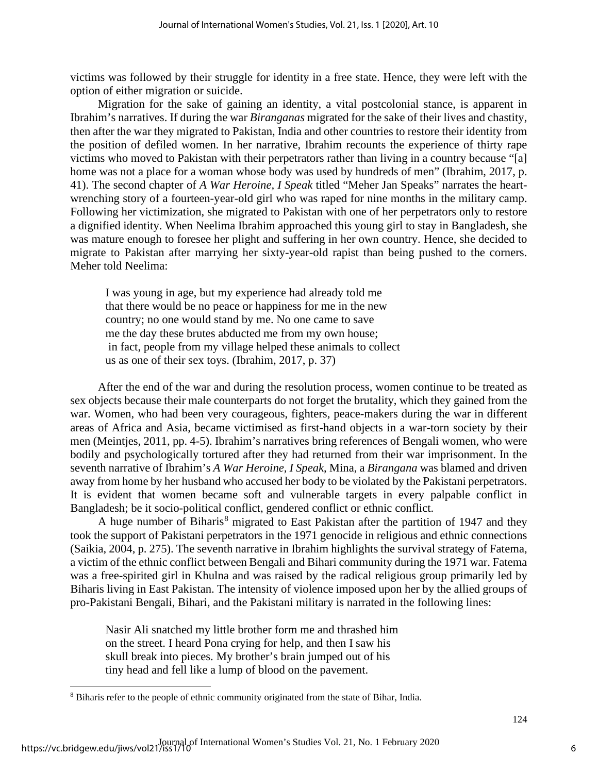victims was followed by their struggle for identity in a free state. Hence, they were left with the option of either migration or suicide.

Migration for the sake of gaining an identity, a vital postcolonial stance, is apparent in Ibrahim's narratives. If during the war *Biranganas* migrated for the sake of their lives and chastity, then after the war they migrated to Pakistan, India and other countries to restore their identity from the position of defiled women. In her narrative, Ibrahim recounts the experience of thirty rape victims who moved to Pakistan with their perpetrators rather than living in a country because "[a] home was not a place for a woman whose body was used by hundreds of men" (Ibrahim, 2017, p. 41). The second chapter of *A War Heroine, I Speak* titled "Meher Jan Speaks" narrates the heartwrenching story of a fourteen-year-old girl who was raped for nine months in the military camp. Following her victimization, she migrated to Pakistan with one of her perpetrators only to restore a dignified identity. When Neelima Ibrahim approached this young girl to stay in Bangladesh, she was mature enough to foresee her plight and suffering in her own country. Hence, she decided to migrate to Pakistan after marrying her sixty-year-old rapist than being pushed to the corners. Meher told Neelima:

I was young in age, but my experience had already told me that there would be no peace or happiness for me in the new country; no one would stand by me. No one came to save me the day these brutes abducted me from my own house; in fact, people from my village helped these animals to collect us as one of their sex toys. (Ibrahim, 2017, p. 37)

After the end of the war and during the resolution process, women continue to be treated as sex objects because their male counterparts do not forget the brutality, which they gained from the war. Women, who had been very courageous, fighters, peace-makers during the war in different areas of Africa and Asia, became victimised as first-hand objects in a war-torn society by their men (Meintjes, 2011, pp. 4-5). Ibrahim's narratives bring references of Bengali women, who were bodily and psychologically tortured after they had returned from their war imprisonment. In the seventh narrative of Ibrahim's *A War Heroine, I Speak*, Mina, a *Birangana* was blamed and driven away from home by her husband who accused her body to be violated by the Pakistani perpetrators. It is evident that women became soft and vulnerable targets in every palpable conflict in Bangladesh; be it socio-political conflict, gendered conflict or ethnic conflict.

A huge number of Biharis<sup>[8](#page-6-0)</sup> migrated to East Pakistan after the partition of 1947 and they took the support of Pakistani perpetrators in the 1971 genocide in religious and ethnic connections (Saikia, 2004, p. 275). The seventh narrative in Ibrahim highlights the survival strategy of Fatema, a victim of the ethnic conflict between Bengali and Bihari community during the 1971 war. Fatema was a free-spirited girl in Khulna and was raised by the radical religious group primarily led by Biharis living in East Pakistan. The intensity of violence imposed upon her by the allied groups of pro-Pakistani Bengali, Bihari, and the Pakistani military is narrated in the following lines:

Nasir Ali snatched my little brother form me and thrashed him on the street. I heard Pona crying for help, and then I saw his skull break into pieces. My brother's brain jumped out of his tiny head and fell like a lump of blood on the pavement.

<span id="page-6-0"></span><sup>8</sup> Biharis refer to the people of ethnic community originated from the state of Bihar, India.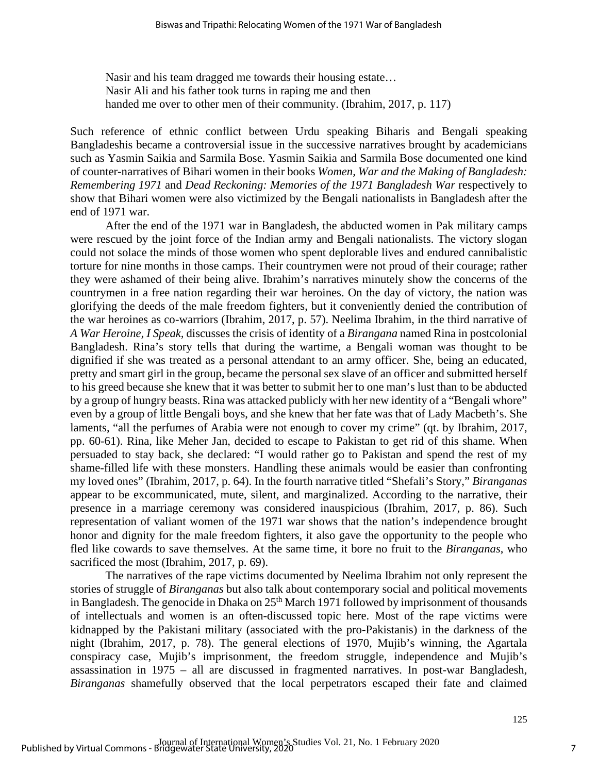Nasir and his team dragged me towards their housing estate… Nasir Ali and his father took turns in raping me and then handed me over to other men of their community. (Ibrahim, 2017, p. 117)

Such reference of ethnic conflict between Urdu speaking Biharis and Bengali speaking Bangladeshis became a controversial issue in the successive narratives brought by academicians such as Yasmin Saikia and Sarmila Bose. Yasmin Saikia and Sarmila Bose documented one kind of counter-narratives of Bihari women in their books *Women, War and the Making of Bangladesh: Remembering 1971* and *Dead Reckoning: Memories of the 1971 Bangladesh War respectively to* show that Bihari women were also victimized by the Bengali nationalists in Bangladesh after the end of 1971 war.

After the end of the 1971 war in Bangladesh, the abducted women in Pak military camps were rescued by the joint force of the Indian army and Bengali nationalists. The victory slogan could not solace the minds of those women who spent deplorable lives and endured cannibalistic torture for nine months in those camps. Their countrymen were not proud of their courage; rather they were ashamed of their being alive. Ibrahim's narratives minutely show the concerns of the countrymen in a free nation regarding their war heroines. On the day of victory, the nation was glorifying the deeds of the male freedom fighters, but it conveniently denied the contribution of the war heroines as co-warriors (Ibrahim, 2017, p. 57). Neelima Ibrahim, in the third narrative of *A War Heroine, I Speak,* discusses the crisis of identity of a *Birangana* named Rina in postcolonial Bangladesh. Rina's story tells that during the wartime, a Bengali woman was thought to be dignified if she was treated as a personal attendant to an army officer. She, being an educated, pretty and smart girl in the group, became the personal sex slave of an officer and submitted herself to his greed because she knew that it was better to submit her to one man's lust than to be abducted by a group of hungry beasts. Rina was attacked publicly with her new identity of a "Bengali whore" even by a group of little Bengali boys, and she knew that her fate was that of Lady Macbeth's. She laments, "all the perfumes of Arabia were not enough to cover my crime" (qt. by Ibrahim, 2017, pp. 60-61). Rina, like Meher Jan, decided to escape to Pakistan to get rid of this shame. When persuaded to stay back, she declared: "I would rather go to Pakistan and spend the rest of my shame-filled life with these monsters. Handling these animals would be easier than confronting my loved ones" (Ibrahim, 2017, p. 64). In the fourth narrative titled "Shefali's Story," *Biranganas* appear to be excommunicated, mute, silent, and marginalized. According to the narrative, their presence in a marriage ceremony was considered inauspicious (Ibrahim, 2017, p. 86). Such representation of valiant women of the 1971 war shows that the nation's independence brought honor and dignity for the male freedom fighters, it also gave the opportunity to the people who fled like cowards to save themselves. At the same time, it bore no fruit to the *Biranganas*, who sacrificed the most (Ibrahim, 2017, p. 69).

The narratives of the rape victims documented by Neelima Ibrahim not only represent the stories of struggle of *Biranganas* but also talk about contemporary social and political movements in Bangladesh. The genocide in Dhaka on  $25<sup>th</sup>$  March 1971 followed by imprisonment of thousands of intellectuals and women is an often-discussed topic here. Most of the rape victims were kidnapped by the Pakistani military (associated with the pro-Pakistanis) in the darkness of the night (Ibrahim, 2017, p. 78). The general elections of 1970, Mujib's winning, the Agartala conspiracy case, Mujib's imprisonment, the freedom struggle, independence and Mujib's assassination in 1975 – all are discussed in fragmented narratives. In post-war Bangladesh, *Biranganas* shamefully observed that the local perpetrators escaped their fate and claimed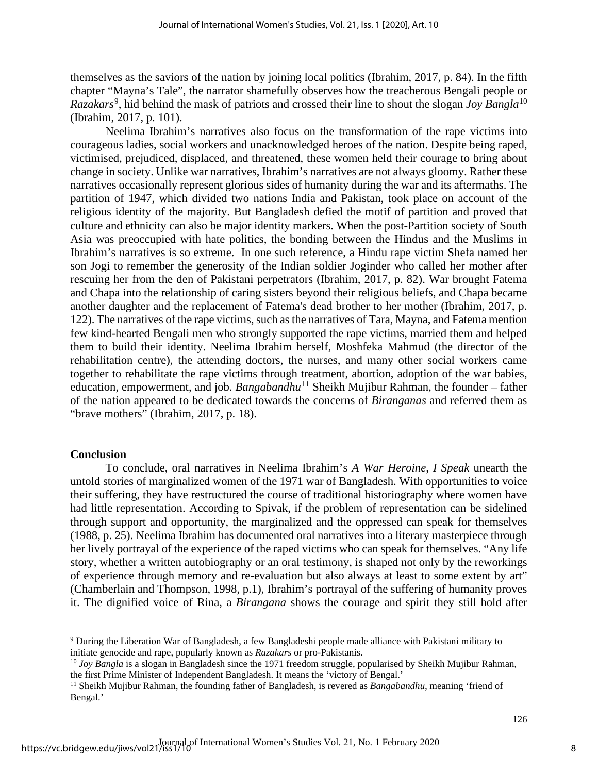themselves as the saviors of the nation by joining local politics (Ibrahim, 2017, p. 84). In the fifth chapter "Mayna's Tale", the narrator shamefully observes how the treacherous Bengali people or Razakars<sup>[9](#page-8-0)</sup>, hid behind the mask of patriots and crossed their line to shout the slogan *Joy Bangla*<sup>[10](#page-8-1)</sup> (Ibrahim, 2017, p. 101).

Neelima Ibrahim's narratives also focus on the transformation of the rape victims into courageous ladies, social workers and unacknowledged heroes of the nation. Despite being raped, victimised, prejudiced, displaced, and threatened, these women held their courage to bring about change in society. Unlike war narratives, Ibrahim's narratives are not always gloomy. Rather these narratives occasionally represent glorious sides of humanity during the war and its aftermaths. The partition of 1947, which divided two nations India and Pakistan, took place on account of the religious identity of the majority. But Bangladesh defied the motif of partition and proved that culture and ethnicity can also be major identity markers. When the post-Partition society of South Asia was preoccupied with hate politics, the bonding between the Hindus and the Muslims in Ibrahim's narratives is so extreme. In one such reference, a Hindu rape victim Shefa named her son Jogi to remember the generosity of the Indian soldier Joginder who called her mother after rescuing her from the den of Pakistani perpetrators (Ibrahim, 2017, p. 82). War brought Fatema and Chapa into the relationship of caring sisters beyond their religious beliefs, and Chapa became another daughter and the replacement of Fatema's dead brother to her mother (Ibrahim, 2017, p. 122). The narratives of the rape victims, such as the narratives of Tara, Mayna, and Fatema mention few kind-hearted Bengali men who strongly supported the rape victims, married them and helped them to build their identity. Neelima Ibrahim herself, Moshfeka Mahmud (the director of the rehabilitation centre), the attending doctors, the nurses, and many other social workers came together to rehabilitate the rape victims through treatment, abortion, adoption of the war babies, education, empowerment, and job. *Bangabandhu*<sup>[11](#page-8-2)</sup> Sheikh Mujibur Rahman, the founder – father of the nation appeared to be dedicated towards the concerns of *Biranganas* and referred them as "brave mothers" (Ibrahim, 2017, p. 18).

#### **Conclusion**

To conclude, oral narratives in Neelima Ibrahim's *A War Heroine, I Speak* unearth the untold stories of marginalized women of the 1971 war of Bangladesh. With opportunities to voice their suffering, they have restructured the course of traditional historiography where women have had little representation. According to Spivak, if the problem of representation can be sidelined through support and opportunity, the marginalized and the oppressed can speak for themselves (1988, p. 25). Neelima Ibrahim has documented oral narratives into a literary masterpiece through her lively portrayal of the experience of the raped victims who can speak for themselves. "Any life story, whether a written autobiography or an oral testimony, is shaped not only by the reworkings of experience through memory and re-evaluation but also always at least to some extent by art" (Chamberlain and Thompson, 1998, p.1), Ibrahim's portrayal of the suffering of humanity proves it. The dignified voice of Rina, a *Birangana* shows the courage and spirit they still hold after

<span id="page-8-0"></span><sup>9</sup> During the Liberation War of Bangladesh, a few Bangladeshi people made alliance with Pakistani military to initiate genocide and rape, popularly known as *Razakars* or pro-Pakistanis.<br><sup>10</sup> *Joy Bangla* is a slogan in Bangladesh since the 1971 freedom struggle, popularised by Sheikh Mujibur Rahman,

<span id="page-8-1"></span>the first Prime Minister of Independent Bangladesh. It means the 'victory of Bengal.'

<span id="page-8-2"></span><sup>&</sup>lt;sup>11</sup> Sheikh Mujibur Rahman, the founding father of Bangladesh, is revered as *Bangabandhu*, meaning 'friend of Bengal.'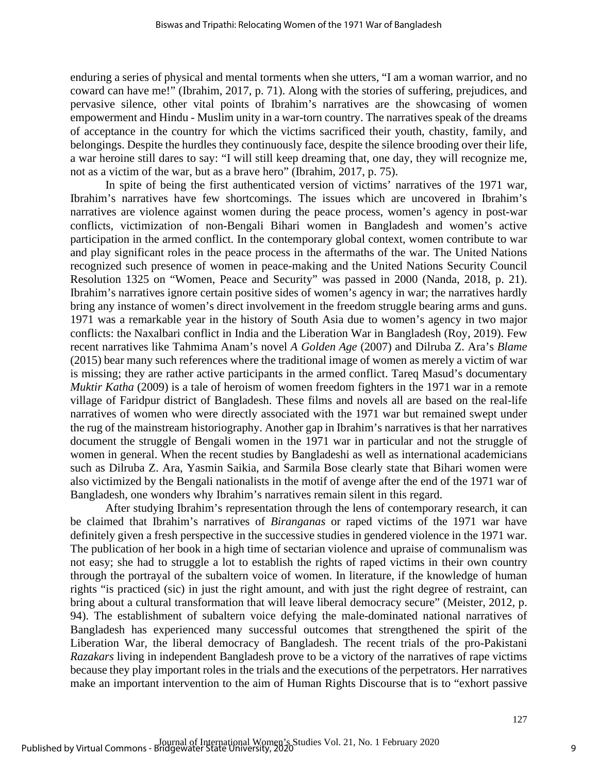enduring a series of physical and mental torments when she utters, "I am a woman warrior, and no coward can have me!" (Ibrahim, 2017, p. 71). Along with the stories of suffering, prejudices, and pervasive silence, other vital points of Ibrahim's narratives are the showcasing of women empowerment and Hindu - Muslim unity in a war-torn country. The narratives speak of the dreams of acceptance in the country for which the victims sacrificed their youth, chastity, family, and belongings. Despite the hurdles they continuously face, despite the silence brooding over their life, a war heroine still dares to say: "I will still keep dreaming that, one day, they will recognize me, not as a victim of the war, but as a brave hero" (Ibrahim, 2017, p. 75).

In spite of being the first authenticated version of victims' narratives of the 1971 war, Ibrahim's narratives have few shortcomings. The issues which are uncovered in Ibrahim's narratives are violence against women during the peace process, women's agency in post-war conflicts, victimization of non-Bengali Bihari women in Bangladesh and women's active participation in the armed conflict. In the contemporary global context, women contribute to war and play significant roles in the peace process in the aftermaths of the war. The United Nations recognized such presence of women in peace-making and the United Nations Security Council Resolution 1325 on "Women, Peace and Security" was passed in 2000 (Nanda, 2018, p. 21). Ibrahim's narratives ignore certain positive sides of women's agency in war; the narratives hardly bring any instance of women's direct involvement in the freedom struggle bearing arms and guns. 1971 was a remarkable year in the history of South Asia due to women's agency in two major conflicts: the Naxalbari conflict in India and the Liberation War in Bangladesh (Roy, 2019). Few recent narratives like Tahmima Anam's novel *A Golden Age* (2007) and Dilruba Z. Ara's *Blame* (2015) bear many such references where the traditional image of women as merely a victim of war is missing; they are rather active participants in the armed conflict. Tareq Masud's documentary *Muktir Katha* (2009) is a tale of heroism of women freedom fighters in the 1971 war in a remote village of Faridpur district of Bangladesh. These films and novels all are based on the real-life narratives of women who were directly associated with the 1971 war but remained swept under the rug of the mainstream historiography. Another gap in Ibrahim's narratives is that her narratives document the struggle of Bengali women in the 1971 war in particular and not the struggle of women in general. When the recent studies by Bangladeshi as well as international academicians such as Dilruba Z. Ara, Yasmin Saikia, and Sarmila Bose clearly state that Bihari women were also victimized by the Bengali nationalists in the motif of avenge after the end of the 1971 war of Bangladesh, one wonders why Ibrahim's narratives remain silent in this regard.

After studying Ibrahim's representation through the lens of contemporary research, it can be claimed that Ibrahim's narratives of *Biranganas* or raped victims of the 1971 war have definitely given a fresh perspective in the successive studies in gendered violence in the 1971 war. The publication of her book in a high time of sectarian violence and upraise of communalism was not easy; she had to struggle a lot to establish the rights of raped victims in their own country through the portrayal of the subaltern voice of women. In literature, if the knowledge of human rights "is practiced (sic) in just the right amount, and with just the right degree of restraint, can bring about a cultural transformation that will leave liberal democracy secure" (Meister, 2012, p. 94). The establishment of subaltern voice defying the male-dominated national narratives of Bangladesh has experienced many successful outcomes that strengthened the spirit of the Liberation War, the liberal democracy of Bangladesh. The recent trials of the pro-Pakistani *Razakars* living in independent Bangladesh prove to be a victory of the narratives of rape victims because they play important roles in the trials and the executions of the perpetrators. Her narratives make an important intervention to the aim of Human Rights Discourse that is to "exhort passive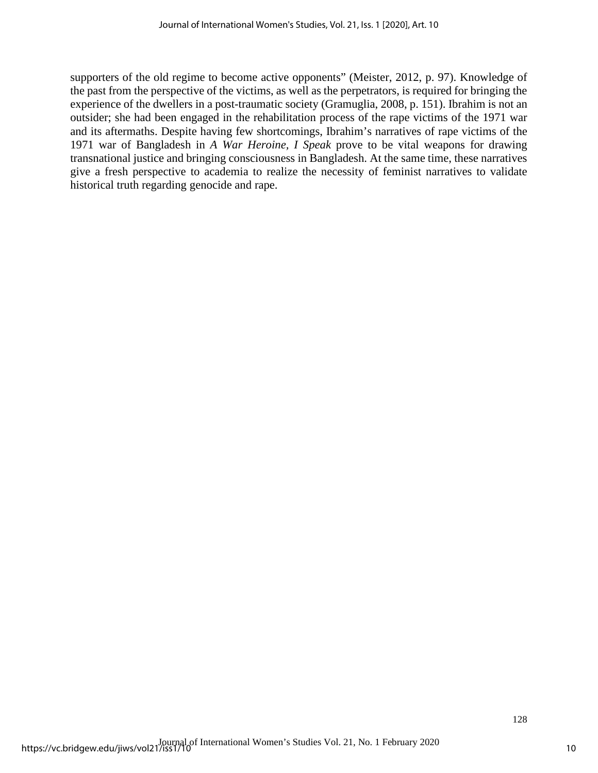supporters of the old regime to become active opponents" (Meister, 2012, p. 97). Knowledge of the past from the perspective of the victims, as well as the perpetrators, is required for bringing the experience of the dwellers in a post-traumatic society (Gramuglia, 2008, p. 151). Ibrahim is not an outsider; she had been engaged in the rehabilitation process of the rape victims of the 1971 war and its aftermaths. Despite having few shortcomings, Ibrahim's narratives of rape victims of the 1971 war of Bangladesh in *A War Heroine, I Speak* prove to be vital weapons for drawing transnational justice and bringing consciousness in Bangladesh. At the same time, these narratives give a fresh perspective to academia to realize the necessity of feminist narratives to validate historical truth regarding genocide and rape.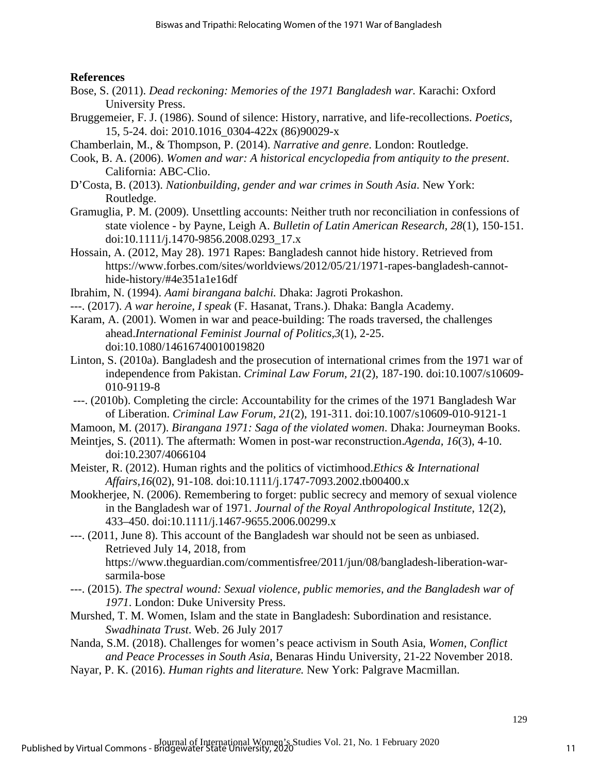### **References**

- Bose, S. (2011). *Dead reckoning: Memories of the 1971 Bangladesh war.* Karachi: Oxford University Press.
- Bruggemeier, F. J. (1986). Sound of silence: History, narrative, and life-recollections. *Poetics*, 15, 5-24. doi: 2010.1016\_0304-422x (86)90029-x
- Chamberlain, M., & Thompson, P. (2014). *Narrative and genre*. London: Routledge.
- Cook, B. A. (2006). *Women and war: A historical encyclopedia from antiquity to the present*. California: ABC-Clio.
- D'Costa, B. (2013). *Nationbuilding, gender and war crimes in South Asia*. New York: Routledge.
- Gramuglia, P. M. (2009). Unsettling accounts: Neither truth nor reconciliation in confessions of state violence - by Payne, Leigh A. *Bulletin of Latin American Research, 28*(1), 150-151. doi:10.1111/j.1470-9856.2008.0293\_17.x
- Hossain, A. (2012, May 28). 1971 Rapes: Bangladesh cannot hide history. Retrieved from https://www.forbes.com/sites/worldviews/2012/05/21/1971-rapes-bangladesh-cannothide-history/#4e351a1e16df
- Ibrahim, N. (1994). *Aami birangana balchi.* Dhaka: Jagroti Prokashon.
- ---. (2017). *A war heroine, I speak* (F. Hasanat, Trans.). Dhaka: Bangla Academy.
- Karam, A. (2001). Women in war and peace-building: The roads traversed, the challenges ahead.*International Feminist Journal of Politics,3*(1), 2-25. doi:10.1080/14616740010019820
- Linton, S. (2010a). Bangladesh and the prosecution of international crimes from the 1971 war of independence from Pakistan. *Criminal Law Forum, 21*(2), 187-190. doi:10.1007/s10609- 010-9119-8
- ---. (2010b). Completing the circle: Accountability for the crimes of the 1971 Bangladesh War of Liberation. *Criminal Law Forum, 21*(2), 191-311. doi:10.1007/s10609-010-9121-1
- Mamoon, M. (2017). *Birangana 1971: Saga of the violated women*. Dhaka: Journeyman Books.
- Meintjes, S. (2011). The aftermath: Women in post-war reconstruction.*Agenda, 16*(3), 4-10. doi:10.2307/4066104
- Meister, R. (2012). Human rights and the politics of victimhood.*Ethics & International Affairs,16*(02), 91-108. doi:10.1111/j.1747-7093.2002.tb00400.x
- Mookherjee, N. (2006). Remembering to forget: public secrecy and memory of sexual violence in the Bangladesh war of 1971. *Journal of the Royal Anthropological Institute*, 12(2), 433–450. doi:10.1111/j.1467-9655.2006.00299.x
- ---. (2011, June 8). This account of the Bangladesh war should not be seen as unbiased. Retrieved July 14, 2018, from https://www.theguardian.com/commentisfree/2011/jun/08/bangladesh-liberation-warsarmila-bose
- ---. (2015). *The spectral wound: Sexual violence, public memories, and the Bangladesh war of 1971*. London: Duke University Press.
- Murshed, T. M. Women, Islam and the state in Bangladesh: Subordination and resistance. *Swadhinata Trust*. Web. 26 July 2017
- Nanda, S.M. (2018). Challenges for women's peace activism in South Asia, *Women, Conflict and Peace Processes in South Asia*, Benaras Hindu University, 21-22 November 2018.
- Nayar, P. K. (2016). *Human rights and literature.* New York: Palgrave Macmillan.